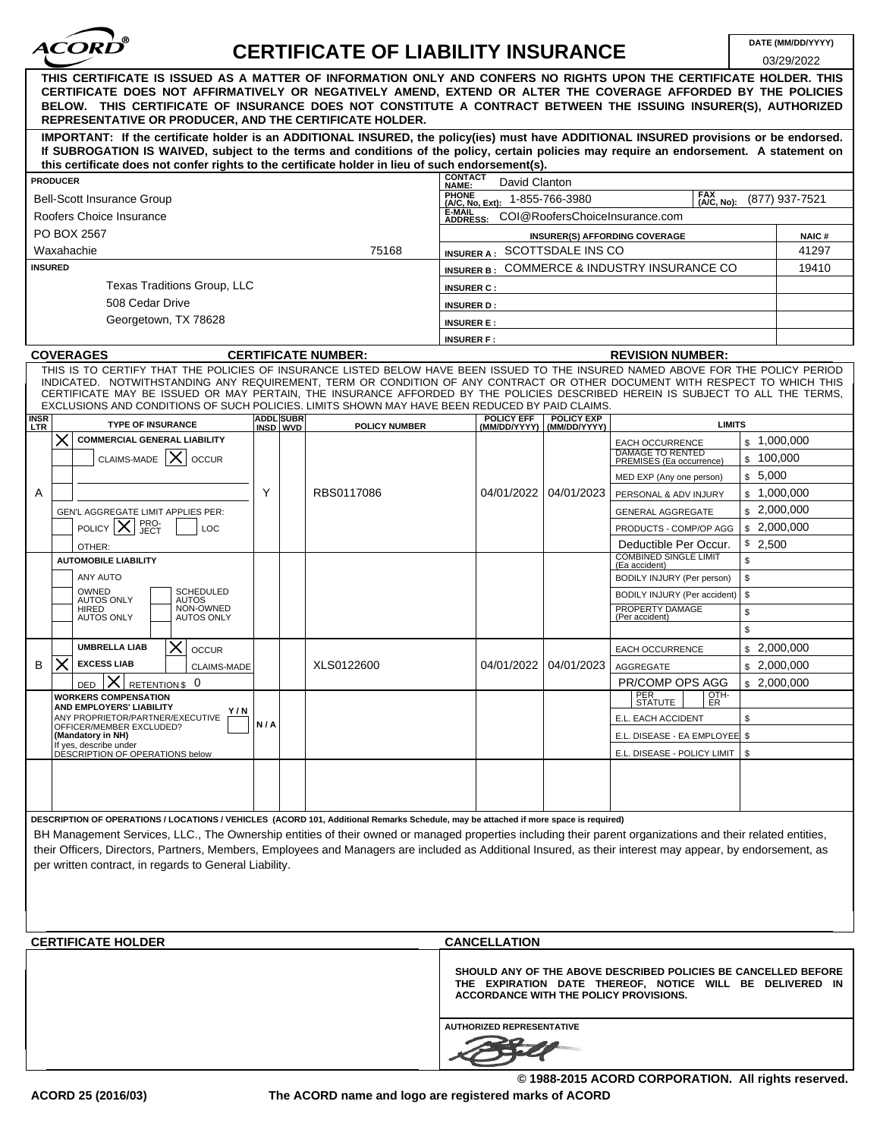

# **CERTIFICATE OF LIABILITY INSURANCE**

| 03/29/2022<br>THIS CERTIFICATE IS ISSUED AS A MATTER OF INFORMATION ONLY AND CONFERS NO RIGHTS UPON THE CERTIFICATE HOLDER. THIS<br>CERTIFICATE DOES NOT AFFIRMATIVELY OR NEGATIVELY AMEND, EXTEND OR ALTER THE COVERAGE AFFORDED BY THE POLICIES<br>BELOW. THIS CERTIFICATE OF INSURANCE DOES NOT CONSTITUTE A CONTRACT BETWEEN THE ISSUING INSURER(S), AUTHORIZED                                                                                                                                |                                                                                                                                      |     |                              |                            |                                                                                                                                                                      |                                          |                            |                                                                                          |                          |       |  |
|----------------------------------------------------------------------------------------------------------------------------------------------------------------------------------------------------------------------------------------------------------------------------------------------------------------------------------------------------------------------------------------------------------------------------------------------------------------------------------------------------|--------------------------------------------------------------------------------------------------------------------------------------|-----|------------------------------|----------------------------|----------------------------------------------------------------------------------------------------------------------------------------------------------------------|------------------------------------------|----------------------------|------------------------------------------------------------------------------------------|--------------------------|-------|--|
| REPRESENTATIVE OR PRODUCER, AND THE CERTIFICATE HOLDER.<br>IMPORTANT: If the certificate holder is an ADDITIONAL INSURED, the policy(ies) must have ADDITIONAL INSURED provisions or be endorsed.<br>If SUBROGATION IS WAIVED, subject to the terms and conditions of the policy, certain policies may require an endorsement. A statement on                                                                                                                                                      |                                                                                                                                      |     |                              |                            |                                                                                                                                                                      |                                          |                            |                                                                                          |                          |       |  |
| this certificate does not confer rights to the certificate holder in lieu of such endorsement(s).                                                                                                                                                                                                                                                                                                                                                                                                  |                                                                                                                                      |     |                              |                            |                                                                                                                                                                      |                                          |                            |                                                                                          |                          |       |  |
| <b>PRODUCER</b>                                                                                                                                                                                                                                                                                                                                                                                                                                                                                    |                                                                                                                                      |     |                              |                            |                                                                                                                                                                      | <b>CONTACT</b><br>NAME:<br>David Clanton |                            |                                                                                          |                          |       |  |
|                                                                                                                                                                                                                                                                                                                                                                                                                                                                                                    | <b>Bell-Scott Insurance Group</b>                                                                                                    |     |                              |                            | <b>PHONE</b><br><b>FAX</b><br>1-855-766-3980<br>(877) 937-7521<br>$(A/C, No)$ :<br>(A/C, No, Ext):                                                                   |                                          |                            |                                                                                          |                          |       |  |
|                                                                                                                                                                                                                                                                                                                                                                                                                                                                                                    | Roofers Choice Insurance                                                                                                             |     |                              |                            | <b>E-MAIL</b><br>COI@RoofersChoiceInsurance.com<br><b>ADDRESS:</b>                                                                                                   |                                          |                            |                                                                                          |                          |       |  |
| PO BOX 2567                                                                                                                                                                                                                                                                                                                                                                                                                                                                                        |                                                                                                                                      |     |                              |                            | <b>NAIC#</b><br>INSURER(S) AFFORDING COVERAGE                                                                                                                        |                                          |                            |                                                                                          |                          |       |  |
| Waxahachie<br>75168                                                                                                                                                                                                                                                                                                                                                                                                                                                                                |                                                                                                                                      |     |                              |                            | INSURER A: SCOTTSDALE INS CO<br>41297                                                                                                                                |                                          |                            |                                                                                          |                          |       |  |
| <b>INSURED</b>                                                                                                                                                                                                                                                                                                                                                                                                                                                                                     |                                                                                                                                      |     |                              |                            | INSURER B: COMMERCE & INDUSTRY INSURANCE CO                                                                                                                          |                                          |                            |                                                                                          |                          | 19410 |  |
| Texas Traditions Group, LLC                                                                                                                                                                                                                                                                                                                                                                                                                                                                        |                                                                                                                                      |     |                              |                            | <b>INSURER C:</b>                                                                                                                                                    |                                          |                            |                                                                                          |                          |       |  |
| 508 Cedar Drive                                                                                                                                                                                                                                                                                                                                                                                                                                                                                    |                                                                                                                                      |     |                              |                            | <b>INSURER D:</b>                                                                                                                                                    |                                          |                            |                                                                                          |                          |       |  |
| Georgetown, TX 78628                                                                                                                                                                                                                                                                                                                                                                                                                                                                               |                                                                                                                                      |     |                              |                            | <b>INSURER E:</b>                                                                                                                                                    |                                          |                            |                                                                                          |                          |       |  |
|                                                                                                                                                                                                                                                                                                                                                                                                                                                                                                    |                                                                                                                                      |     |                              |                            | <b>INSURER F:</b>                                                                                                                                                    |                                          |                            |                                                                                          |                          |       |  |
| <b>COVERAGES</b>                                                                                                                                                                                                                                                                                                                                                                                                                                                                                   |                                                                                                                                      |     |                              | <b>CERTIFICATE NUMBER:</b> | <b>REVISION NUMBER:</b>                                                                                                                                              |                                          |                            |                                                                                          |                          |       |  |
| THIS IS TO CERTIFY THAT THE POLICIES OF INSURANCE LISTED BELOW HAVE BEEN ISSUED TO THE INSURED NAMED ABOVE FOR THE POLICY PERIOD<br>INDICATED. NOTWITHSTANDING ANY REQUIREMENT, TERM OR CONDITION OF ANY CONTRACT OR OTHER DOCUMENT WITH RESPECT TO WHICH THIS<br>CERTIFICATE MAY BE ISSUED OR MAY PERTAIN, THE INSURANCE AFFORDED BY THE POLICIES DESCRIBED HEREIN IS SUBJECT TO ALL THE TERMS,<br>EXCLUSIONS AND CONDITIONS OF SUCH POLICIES. LIMITS SHOWN MAY HAVE BEEN REDUCED BY PAID CLAIMS. |                                                                                                                                      |     |                              |                            |                                                                                                                                                                      |                                          |                            |                                                                                          |                          |       |  |
| <b>INSR</b><br>LTR                                                                                                                                                                                                                                                                                                                                                                                                                                                                                 | <b>TYPE OF INSURANCE</b>                                                                                                             |     | <b>ADDL</b> SUBR<br>INSD WVD | <b>POLICY NUMBER</b>       |                                                                                                                                                                      | POLICY EFF                               | POLICY EXP<br>(MM/DD/YYYY) | <b>LIMITS</b>                                                                            |                          |       |  |
|                                                                                                                                                                                                                                                                                                                                                                                                                                                                                                    | <b>COMMERCIAL GENERAL LIABILITY</b><br>X<br>CLAIMS-MADE<br><b>OCCUR</b>                                                              |     |                              |                            |                                                                                                                                                                      |                                          |                            | <b>EACH OCCURRENCE</b><br><b>DAMAGE TO RENTED</b><br>PREMISES (Ea occurrence)            | \$1,000,000<br>\$100,000 |       |  |
|                                                                                                                                                                                                                                                                                                                                                                                                                                                                                                    |                                                                                                                                      |     |                              |                            |                                                                                                                                                                      |                                          |                            | MED EXP (Any one person)                                                                 | \$5,000                  |       |  |
| A                                                                                                                                                                                                                                                                                                                                                                                                                                                                                                  |                                                                                                                                      | Υ   |                              | RBS0117086                 |                                                                                                                                                                      | 04/01/2022                               | 04/01/2023                 | PERSONAL & ADV INJURY                                                                    | \$1,000,000              |       |  |
|                                                                                                                                                                                                                                                                                                                                                                                                                                                                                                    | GEN'L AGGREGATE LIMIT APPLIES PER:                                                                                                   |     |                              |                            |                                                                                                                                                                      |                                          |                            | \$2,000,000<br><b>GENERAL AGGREGATE</b>                                                  |                          |       |  |
|                                                                                                                                                                                                                                                                                                                                                                                                                                                                                                    | PRO-<br>JECT<br><b>POLICY</b><br><b>LOC</b>                                                                                          |     |                              |                            |                                                                                                                                                                      |                                          |                            | PRODUCTS - COMP/OP AGG                                                                   | \$2,000,000              |       |  |
| OTHER:                                                                                                                                                                                                                                                                                                                                                                                                                                                                                             |                                                                                                                                      |     |                              |                            |                                                                                                                                                                      |                                          |                            | Deductible Per Occur.                                                                    | \$2,500                  |       |  |
|                                                                                                                                                                                                                                                                                                                                                                                                                                                                                                    | <b>AUTOMOBILE LIABILITY</b>                                                                                                          |     |                              |                            |                                                                                                                                                                      |                                          |                            | <b>COMBINED SINGLE LIMIT</b><br>(Ea accident)                                            | \$                       |       |  |
|                                                                                                                                                                                                                                                                                                                                                                                                                                                                                                    | ANY AUTO                                                                                                                             |     |                              |                            |                                                                                                                                                                      |                                          |                            | BODILY INJURY (Per person)                                                               | \$                       |       |  |
|                                                                                                                                                                                                                                                                                                                                                                                                                                                                                                    | OWNED<br><b>SCHEDULED</b><br>AUTOS ONLY<br><b>AUTOS</b>                                                                              |     |                              |                            |                                                                                                                                                                      |                                          |                            | BODILY INJURY (Per accident)                                                             | \$                       |       |  |
| <b>HIRED</b>                                                                                                                                                                                                                                                                                                                                                                                                                                                                                       | NON-OWNED<br><b>AUTOS ONLY</b><br><b>AUTOS ONLY</b>                                                                                  |     |                              |                            |                                                                                                                                                                      |                                          |                            | PROPERTY DAMAGE<br>(Per accident)                                                        | \$                       |       |  |
|                                                                                                                                                                                                                                                                                                                                                                                                                                                                                                    |                                                                                                                                      |     |                              |                            |                                                                                                                                                                      |                                          |                            |                                                                                          | \$                       |       |  |
|                                                                                                                                                                                                                                                                                                                                                                                                                                                                                                    | <b>UMBRELLA LIAB</b><br>Х<br><b>OCCUR</b>                                                                                            |     |                              |                            |                                                                                                                                                                      |                                          |                            | <b>EACH OCCURRENCE</b>                                                                   | \$2,000,000              |       |  |
| $\times$<br>B                                                                                                                                                                                                                                                                                                                                                                                                                                                                                      | <b>EXCESS LIAB</b><br><b>CLAIMS-MADE</b>                                                                                             |     |                              | XLS0122600                 |                                                                                                                                                                      | 04/01/2022                               | 04/01/2023                 | <b>AGGREGATE</b>                                                                         | \$2,000,000              |       |  |
| <b>DED</b>                                                                                                                                                                                                                                                                                                                                                                                                                                                                                         | RETENTION \$ 0<br>⋏                                                                                                                  |     |                              |                            |                                                                                                                                                                      |                                          |                            | PR/COMP OPS AGG                                                                          | \$2,000,000              |       |  |
| <b>WORKERS COMPENSATION</b><br>AND EMPLOYERS' LIABILITY                                                                                                                                                                                                                                                                                                                                                                                                                                            |                                                                                                                                      |     |                              |                            |                                                                                                                                                                      |                                          |                            | PER<br>STATUTE<br>$\left  \begin{array}{c} \text{OTH-} \\ \text{ER} \end{array} \right $ |                          |       |  |
|                                                                                                                                                                                                                                                                                                                                                                                                                                                                                                    | Y/N<br>ANY PROPRIETOR/PARTNER/EXECUTIVE<br>OFFICER/MEMBER EXCLUDED?                                                                  | N/A |                              |                            |                                                                                                                                                                      |                                          |                            | E.L. EACH ACCIDENT                                                                       | \$                       |       |  |
| (Mandatory in NH)                                                                                                                                                                                                                                                                                                                                                                                                                                                                                  | If yes, describe under                                                                                                               |     |                              |                            |                                                                                                                                                                      |                                          |                            | E.L. DISEASE - EA EMPLOYEE \$                                                            |                          |       |  |
|                                                                                                                                                                                                                                                                                                                                                                                                                                                                                                    | DESCRIPTION OF OPERATIONS below                                                                                                      |     |                              |                            |                                                                                                                                                                      |                                          |                            | E.L. DISEASE - POLICY LIMIT   \$                                                         |                          |       |  |
|                                                                                                                                                                                                                                                                                                                                                                                                                                                                                                    |                                                                                                                                      |     |                              |                            |                                                                                                                                                                      |                                          |                            |                                                                                          |                          |       |  |
|                                                                                                                                                                                                                                                                                                                                                                                                                                                                                                    | DESCRIPTION OF OPERATIONS / LOCATIONS / VEHICLES (ACORD 101, Additional Remarks Schedule, may be attached if more space is required) |     |                              |                            |                                                                                                                                                                      |                                          |                            |                                                                                          |                          |       |  |
| BH Management Services, LLC., The Ownership entities of their owned or managed properties including their parent organizations and their related entities,<br>their Officers, Directors, Partners, Members, Employees and Managers are included as Additional Insured, as their interest may appear, by endorsement, as                                                                                                                                                                            |                                                                                                                                      |     |                              |                            |                                                                                                                                                                      |                                          |                            |                                                                                          |                          |       |  |
| per written contract, in regards to General Liability.                                                                                                                                                                                                                                                                                                                                                                                                                                             |                                                                                                                                      |     |                              |                            |                                                                                                                                                                      |                                          |                            |                                                                                          |                          |       |  |
|                                                                                                                                                                                                                                                                                                                                                                                                                                                                                                    |                                                                                                                                      |     |                              |                            |                                                                                                                                                                      |                                          |                            |                                                                                          |                          |       |  |
| <b>CERTIFICATE HOLDER</b>                                                                                                                                                                                                                                                                                                                                                                                                                                                                          |                                                                                                                                      |     |                              |                            | <b>CANCELLATION</b>                                                                                                                                                  |                                          |                            |                                                                                          |                          |       |  |
|                                                                                                                                                                                                                                                                                                                                                                                                                                                                                                    |                                                                                                                                      |     |                              |                            | SHOULD ANY OF THE ABOVE DESCRIBED POLICIES BE CANCELLED BEFORE<br>THE EXPIRATION DATE THEREOF, NOTICE WILL BE DELIVERED IN<br>ACCORDANCE WITH THE POLICY PROVISIONS. |                                          |                            |                                                                                          |                          |       |  |
|                                                                                                                                                                                                                                                                                                                                                                                                                                                                                                    |                                                                                                                                      |     |                              |                            |                                                                                                                                                                      | <b>AUTHORIZED REPRESENTATIVE</b>         |                            |                                                                                          |                          |       |  |
| © 1988-2015 ACORD CORPORATION. All rights reserved.                                                                                                                                                                                                                                                                                                                                                                                                                                                |                                                                                                                                      |     |                              |                            |                                                                                                                                                                      |                                          |                            |                                                                                          |                          |       |  |

**The ACORD name and logo are registered marks of ACORD**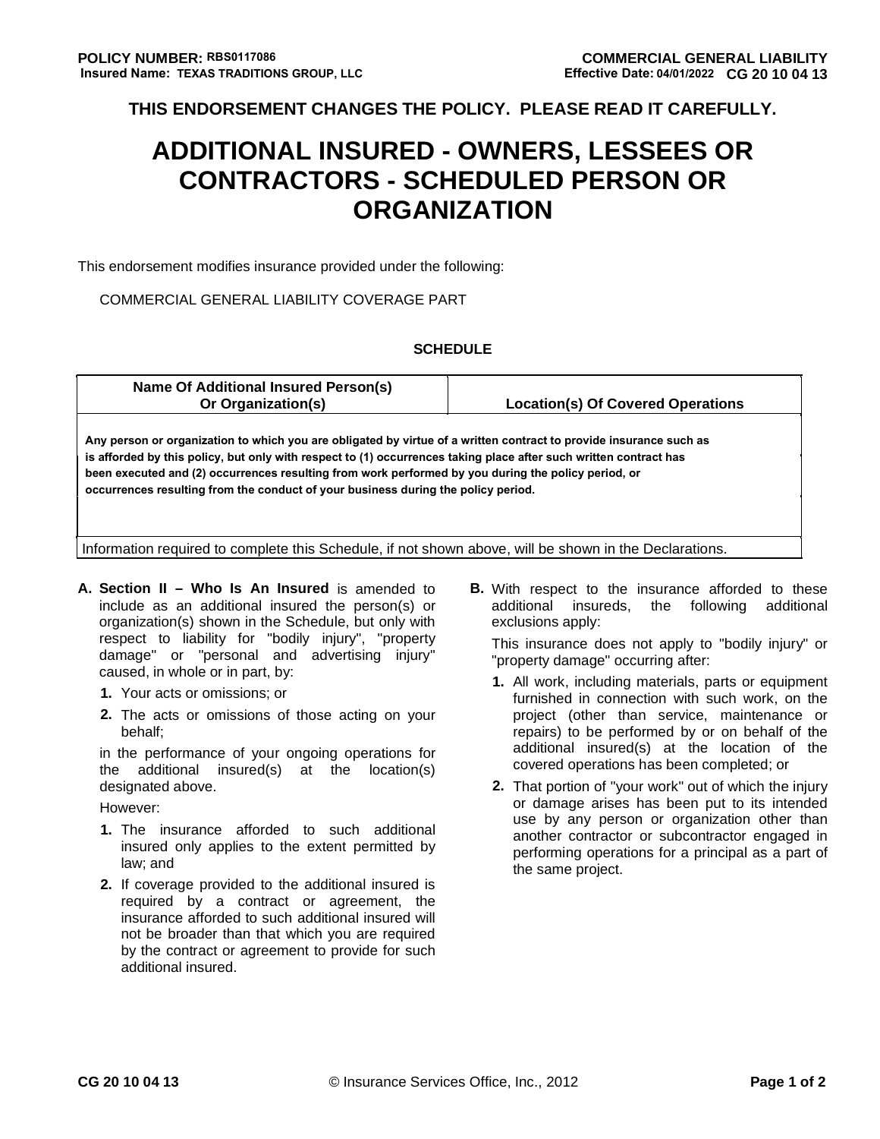**THIS ENDORSEMENT CHANGES THE POLICY. PLEASE READ IT CAREFULLY.**

# **ADDITIONAL INSURED - OWNERS, LESSEES OR CONTRACTORS - SCHEDULED PERSON OR ORGANIZATION**

This endorsement modifies insurance provided under the following:

### COMMERCIAL GENERAL LIABILITY COVERAGE PART

#### **SCHEDULE**

| Name Of Additional Insured Person(s)<br>Or Organization(s)                                                                                                                                                                                                                                                                                                                                                                          | <b>Location(s) Of Covered Operations</b> |  |  |  |  |  |
|-------------------------------------------------------------------------------------------------------------------------------------------------------------------------------------------------------------------------------------------------------------------------------------------------------------------------------------------------------------------------------------------------------------------------------------|------------------------------------------|--|--|--|--|--|
| Any person or organization to which you are obligated by virtue of a written contract to provide insurance such as<br>is afforded by this policy, but only with respect to (1) occurrences taking place after such written contract has<br>been executed and (2) occurrences resulting from work performed by you during the policy period, or<br>occurrences resulting from the conduct of your business during the policy period. |                                          |  |  |  |  |  |
| Information required to complete this Schedule, if not shown above, will be shown in the Declarations.                                                                                                                                                                                                                                                                                                                              |                                          |  |  |  |  |  |

- **A. Section II Who Is An Insured** is amended to **B.** With respect to the insurance afforded to these organization(s) shown in the Schedule, but only with exclusions apply: respect to liability for "bodily injury", "property<br>damage" or "personal and advertising injury" broperty-damage" occurring after: damage" or "personal and advertising injury"<br>caused, in whole or in part, by:
	-
	- **2.** The acts or omissions of those acting on your **project** (other than service, maintenance or

the additional insured(s) at the location(s) designated above. **2.** That portion of "your work" out of which the injury

- 
- **2.** If coverage provided to the additional insured is required by a contract or agreement, the insurance afforded to such additional insured will not be broader than that which you are required by the contract or agreement to provide for such additional insured.

include as an additional insured the person(s) or additional insureds, the following additional

- caused, in whole or in part, by: **1.** All work, including materials, parts or equipment furnished in connection with such work, on the behalf; behalf of the performed by or on behalf of the behalf of the performed by or on behalf of the in the performance of your ongoing operations for  $\begin{array}{c} \text{additional} \text{ }\text{insured(s)} \text{ at the location of the} \\ \text{the additional signal in the normal} \end{array}$
- France extending the same of damage arises has been put to its intended<br>was by any person or organization other than 1. The insurance afforded to such additional another contractor or subcontractor engaged in insured only applies to the extent permitted by environment operations for a principal as a part of insured only applies to the extent permitted by performing operations for a principal as a part of law: and the same project.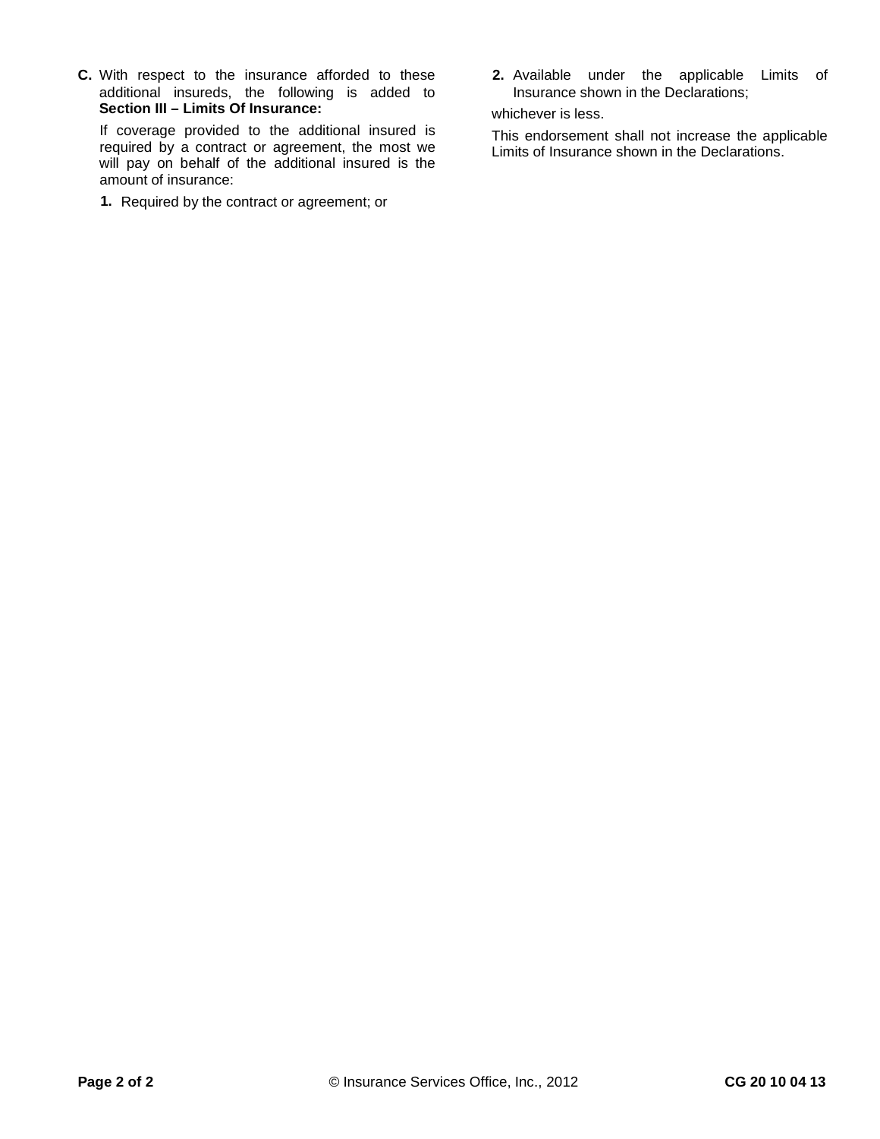**C.** With respect to the insurance afforded to these **2.** Available under the applicable Limits of additional insureds, the following is added to Insurance shown in the Declarations; **Section III – Limits Of Insurance:** whichever is less.<br>If coverage provided to the additional insured is This endorsement

required by a contract or agreement, the most we<br>Limits of Insurance shown in the Declarations. will pay on behalf of the additional insured is the amount of insurance:

**1.** Required by the contract or agreement; or

This endorsement shall not increase the applicable